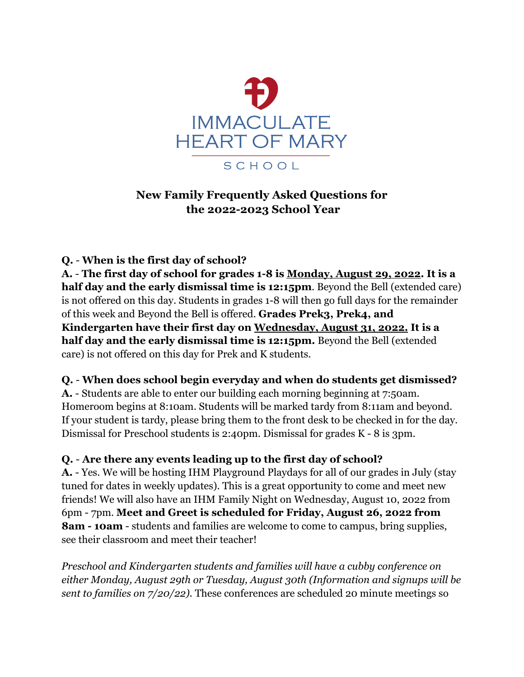

# **New Family Frequently Asked Questions for the 2022-2023 School Year**

## **Q.** - **When is the first day of school?**

**A.** - **The first day of school for grades 1-8 is Monday, August 29, 2022. It is a half day and the early dismissal time is 12:15pm**. Beyond the Bell (extended care) is not offered on this day. Students in grades 1-8 will then go full days for the remainder of this week and Beyond the Bell is offered. **Grades Prek3, Prek4, and Kindergarten have their first day on Wednesday, August 31, 2022. It is a half day and the early dismissal time is 12:15pm.** Beyond the Bell (extended care) is not offered on this day for Prek and K students.

### **Q.** - **When does school begin everyday and when do students get dismissed?**

**A.** - Students are able to enter our building each morning beginning at 7:50am. Homeroom begins at 8:10am. Students will be marked tardy from 8:11am and beyond. If your student is tardy, please bring them to the front desk to be checked in for the day. Dismissal for Preschool students is 2:40pm. Dismissal for grades K - 8 is 3pm.

### **Q.** - **Are there any events leading up to the first day of school?**

**A.** - Yes. We will be hosting IHM Playground Playdays for all of our grades in July (stay tuned for dates in weekly updates). This is a great opportunity to come and meet new friends! We will also have an IHM Family Night on Wednesday, August 10, 2022 from 6pm - 7pm. **Meet and Greet is scheduled for Friday, August 26, 2022 from 8am - 10am** - students and families are welcome to come to campus, bring supplies, see their classroom and meet their teacher!

*Preschool and Kindergarten students and families will have a cubby conference on either Monday, August 29th or Tuesday, August 30th (Information and signups will be sent to families on 7/20/22).* These conferences are scheduled 20 minute meetings so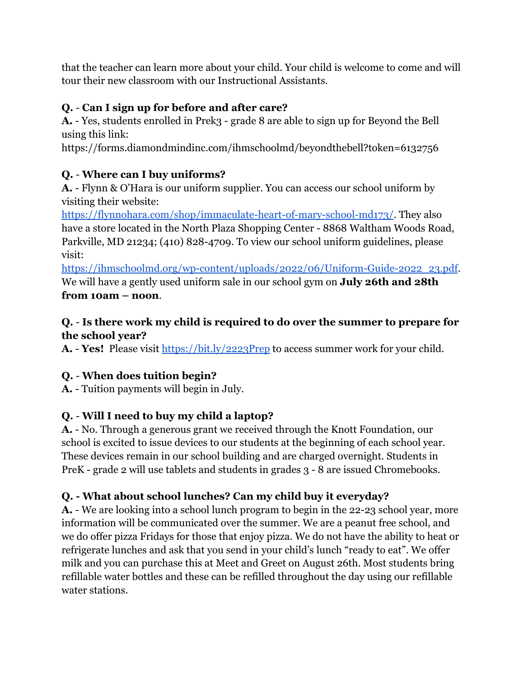that the teacher can learn more about your child. Your child is welcome to come and will tour their new classroom with our Instructional Assistants.

# **Q.** - **Can I sign up for before and after care?**

**A.** - Yes, students enrolled in Prek3 - grade 8 are able to sign up for Beyond the Bell using this link:

https://forms.diamondmindinc.com/ihmschoolmd/beyondthebell?token=6132756

# **Q.** - **Where can I buy uniforms?**

**A.** - Flynn & O'Hara is our uniform supplier. You can access our school uniform by visiting their website:

<https://flynnohara.com/shop/immaculate-heart-of-mary-school-md173/>. They also have a store located in the North Plaza Shopping Center - 8868 Waltham Woods Road, Parkville, MD 21234; (410) 828-4709. To view our school uniform guidelines, please visit:

[https://ihmschoolmd.org/wp-content/uploads/2022/06/Uniform-Guide-2022\\_23.pdf](https://ihmschoolmd.org/wp-content/uploads/2022/06/Uniform-Guide-2022_23.pdf). We will have a gently used uniform sale in our school gym on **July 26th and 28th from 10am – noon**.

## **Q.** - **Is there work my child is required to do over the summer to prepare for the school year?**

**A.** - **Yes!** Please visit <https://bit.ly/2223Prep> to access summer work for your child.

# **Q.** - **When does tuition begin?**

**A.** - Tuition payments will begin in July.

# **Q.** - **Will I need to buy my child a laptop?**

**A.** - No. Through a generous grant we received through the Knott Foundation, our school is excited to issue devices to our students at the beginning of each school year. These devices remain in our school building and are charged overnight. Students in PreK - grade 2 will use tablets and students in grades 3 - 8 are issued Chromebooks.

# **Q. - What about school lunches? Can my child buy it everyday?**

**A.** - We are looking into a school lunch program to begin in the 22-23 school year, more information will be communicated over the summer. We are a peanut free school, and we do offer pizza Fridays for those that enjoy pizza. We do not have the ability to heat or refrigerate lunches and ask that you send in your child's lunch "ready to eat". We offer milk and you can purchase this at Meet and Greet on August 26th. Most students bring refillable water bottles and these can be refilled throughout the day using our refillable water stations.